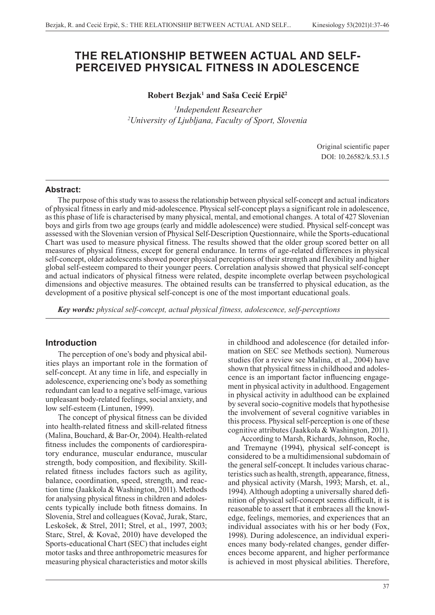# **THE RELATIONSHIP BETWEEN ACTUAL AND SELF-PERCEIVED PHYSICAL FITNESS IN ADOLESCENCE**

## **Robert Bezjak1 and Saša Cecić Erpič<sup>2</sup>**

 *1Independent Researcher 2 University of Ljubljana, Faculty of Sport, Slovenia*

> Original scientific paper DOI: 10.26582/k.53.1.5

### **Abstract:**

The purpose of this study was to assess the relationship between physical self-concept and actual indicators of physical fitness in early and mid-adolescence. Physical self-concept plays a significant role in adolescence, as this phase of life is characterised by many physical, mental, and emotional changes. A total of 427 Slovenian boys and girls from two age groups (early and middle adolescence) were studied. Physical self-concept was assessed with the Slovenian version of Physical Self-Description Questionnaire, while the Sports-educational Chart was used to measure physical fitness. The results showed that the older group scored better on all measures of physical fitness, except for general endurance. In terms of age-related differences in physical self-concept, older adolescents showed poorer physical perceptions of their strength and flexibility and higher global self-esteem compared to their younger peers. Correlation analysis showed that physical self-concept and actual indicators of physical fitness were related, despite incomplete overlap between psychological dimensions and objective measures. The obtained results can be transferred to physical education, as the development of a positive physical self-concept is one of the most important educational goals.

*Key words: physical self-concept, actual physical fitness, adolescence, self-perceptions*

## **Introduction**

The perception of one's body and physical abilities plays an important role in the formation of self-concept. At any time in life, and especially in adolescence, experiencing one's body as something redundant can lead to a negative self-image, various unpleasant body-related feelings, social anxiety, and low self-esteem (Lintunen, 1999).

The concept of physical fitness can be divided into health-related fitness and skill-related fitness (Malina, Bouchard, & Bar-Or, 2004). Health-related fitness includes the components of cardiorespiratory endurance, muscular endurance, muscular strength, body composition, and flexibility. Skillrelated fitness includes factors such as agility, balance, coordination, speed, strength, and reaction time (Jaakkola & Washington, 2011). Methods for analysing physical fitness in children and adolescents typically include both fitness domains. In Slovenia, Strel and colleagues (Kovač, Jurak, Starc, Leskošek, & Strel, 2011; Strel, et al., 1997, 2003; Starc, Strel, & Kovač, 2010) have developed the Sports-educational Chart (SEC) that includes eight motor tasks and three anthropometric measures for measuring physical characteristics and motor skills

in childhood and adolescence (for detailed information on SEC see Methods section). Numerous studies (for a review see Malina, et al., 2004) have shown that physical fitness in childhood and adolescence is an important factor influencing engagement in physical activity in adulthood. Engagement in physical activity in adulthood can be explained by several socio-cognitive models that hypothesise the involvement of several cognitive variables in this process. Physical self-perception is one of these cognitive attributes (Jaakkola & Washington, 2011).

According to Marsh, Richards, Johnson, Roche, and Tremayne (1994), physical self-concept is considered to be a multidimensional subdomain of the general self-concept. It includes various characteristics such as health, strength, appearance, fitness, and physical activity (Marsh, 1993; Marsh, et. al., 1994). Although adopting a universally shared definition of physical self-concept seems difficult, it is reasonable to assert that it embraces all the knowledge, feelings, memories, and experiences that an individual associates with his or her body (Fox, 1998). During adolescence, an individual experiences many body-related changes, gender differences become apparent, and higher performance is achieved in most physical abilities. Therefore,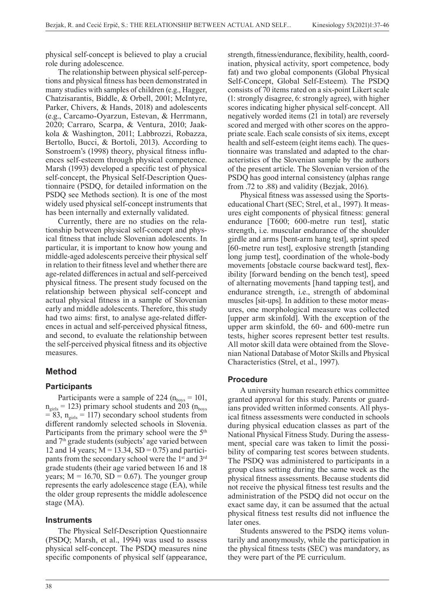physical self-concept is believed to play a crucial role during adolescence.

The relationship between physical self-perceptions and physical fitness has been demonstrated in many studies with samples of children (e.g., Hagger, Chatzisarantis, Biddle, & Orbell, 2001; McIntyre, Parker, Chivers, & Hands, 2018) and adolescents (e.g., Carcamo-Oyarzun, Estevan, & Herrmann, 2020; Carraro, Scarpa, & Ventura, 2010; Jaakkola & Washington, 2011; Labbrozzi, Robazza, Bertollo, Bucci, & Bortoli, 2013). According to Sonstroem's (1998) theory, physical fitness influences self-esteem through physical competence. Marsh (1993) developed a specific test of physical self-concept, the Physical Self-Description Questionnaire (PSDQ, for detailed information on the PSDQ see Methods section). It is one of the most widely used physical self-concept instruments that has been internally and externally validated.

Currently, there are no studies on the relationship between physical self-concept and physical fitness that include Slovenian adolescents. In particular, it is important to know how young and middle-aged adolescents perceive their physical self in relation to their fitness level and whether there are age-related differences in actual and self-perceived physical fitness. The present study focused on the relationship between physical self-concept and actual physical fitness in a sample of Slovenian early and middle adolescents. Therefore, this study had two aims: first, to analyse age-related differences in actual and self-perceived physical fitness, and second, to evaluate the relationship between the self-perceived physical fitness and its objective measures.

## **Method**

## **Participants**

Participants were a sample of 224 ( $n_{\text{boys}} = 101$ ,  $n<sub>girls</sub> = 123$ ) primary school students and 203 ( $n<sub>boys</sub>$  $= 83$ ,  $n<sub>girls</sub> = 117$ ) secondary school students from different randomly selected schools in Slovenia. Participants from the primary school were the 5<sup>th</sup> and 7<sup>th</sup> grade students (subjects' age varied between 12 and 14 years;  $M = 13.34$ ,  $SD = 0.75$ ) and participants from the secondary school were the 1<sup>st</sup> and 3<sup>rd</sup> grade students (their age varied between 16 and 18 years;  $M = 16.70$ ,  $SD = 0.67$ ). The younger group represents the early adolescence stage (EA), while the older group represents the middle adolescence stage (MA).

### **Instruments**

The Physical Self-Description Questionnaire (PSDQ; Marsh, et al., 1994) was used to assess physical self-concept. The PSDQ measures nine specific components of physical self (appearance, strength, fitness/endurance, flexibility, health, coordination, physical activity, sport competence, body fat) and two global components (Global Physical Self-Concept, Global Self-Esteem). The PSDQ consists of 70 items rated on a six-point Likert scale (1: strongly disagree, 6: strongly agree), with higher scores indicating higher physical self-concept. All negatively worded items (21 in total) are reversely scored and merged with other scores on the appropriate scale. Each scale consists of six items, except health and self-esteem (eight items each). The questionnaire was translated and adapted to the characteristics of the Slovenian sample by the authors of the present article. The Slovenian version of the PSDQ has good internal consistency (alphas range from .72 to .88) and validity (Bezjak, 2016).

Physical fitness was assessed using the Sportseducational Chart (SEC; Strel, et al., 1997). It measures eight components of physical fitness: general endurance [T600; 600-metre run test], static strength, i.e. muscular endurance of the shoulder girdle and arms [bent-arm hang test], sprint speed [60-metre run test], explosive strength [standing long jump test], coordination of the whole-body movements [obstacle course backward test], flexibility [forward bending on the bench test], speed of alternating movements [hand tapping test], and endurance strength, i.e., strength of abdominal muscles [sit-ups]. In addition to these motor measures, one morphological measure was collected [upper arm skinfold]. With the exception of the upper arm skinfold, the 60- and 600-metre run tests, higher scores represent better test results. All motor skill data were obtained from the Slovenian National Database of Motor Skills and Physical Characteristics (Strel, et al., 1997).

### **Procedure**

A university human research ethics committee granted approval for this study. Parents or guardians provided written informed consents. All physical fitness assessments were conducted in schools during physical education classes as part of the National Physical Fitness Study. During the assessment, special care was taken to limit the possibility of comparing test scores between students. The PSDQ was administered to participants in a group class setting during the same week as the physical fitness assessments. Because students did not receive the physical fitness test results and the administration of the PSDQ did not occur on the exact same day, it can be assumed that the actual physical fitness test results did not influence the later ones.

Students answered to the PSDQ items voluntarily and anonymously, while the participation in the physical fitness tests (SEC) was mandatory, as they were part of the PE curriculum.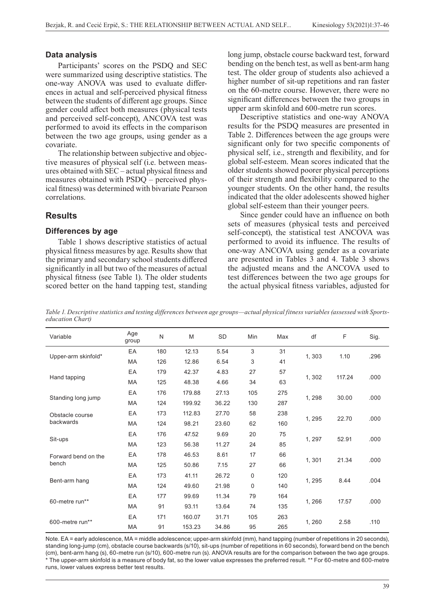### **Data analysis**

Participants' scores on the PSDQ and SEC were summarized using descriptive statistics. The one-way ANOVA was used to evaluate differences in actual and self-perceived physical fitness between the students of different age groups. Since gender could affect both measures (physical tests and perceived self-concept), ANCOVA test was performed to avoid its effects in the comparison between the two age groups, using gender as a covariate.

The relationship between subjective and objective measures of physical self (i.e. between measures obtained with SEC – actual physical fitness and measures obtained with PSDQ – perceived physical fitness) was determined with bivariate Pearson correlations.

## **Results**

#### **Differences by age**

Table 1 shows descriptive statistics of actual physical fitness measures by age. Results show that the primary and secondary school students differed significantly in all but two of the measures of actual physical fitness (see Table 1). The older students scored better on the hand tapping test, standing long jump, obstacle course backward test, forward bending on the bench test, as well as bent-arm hang test. The older group of students also achieved a higher number of sit-up repetitions and ran faster on the 60-metre course. However, there were no significant differences between the two groups in upper arm skinfold and 600-metre run scores.

Descriptive statistics and one-way ANOVA results for the PSDQ measures are presented in Table 2. Differences between the age groups were significant only for two specific components of physical self, i.e., strength and flexibility, and for global self-esteem. Mean scores indicated that the older students showed poorer physical perceptions of their strength and flexibility compared to the younger students. On the other hand, the results indicated that the older adolescents showed higher global self-esteem than their younger peers.

Since gender could have an influence on both sets of measures (physical tests and perceived self-concept), the statistical test ANCOVA was performed to avoid its influence. The results of one-way ANCOVA using gender as a covariate are presented in Tables 3 and 4. Table 3 shows the adjusted means and the ANCOVA used to test differences between the two age groups for the actual physical fitness variables, adjusted for

*Table 1. Descriptive statistics and testing differences between age groups—actual physical fitness variables (assessed with Sportseducation Chart)*

| Variable                     | Age<br>group | N   | M      | SD    | Min | Max | df     | F      | Sig. |
|------------------------------|--------------|-----|--------|-------|-----|-----|--------|--------|------|
|                              | EA           | 180 | 12.13  | 5.54  | 3   | 31  | 1,303  | 1.10   | .296 |
| Upper-arm skinfold*          | <b>MA</b>    | 126 | 12.86  | 6.54  | 3   | 41  |        |        |      |
| Hand tapping                 | EA           | 179 | 42.37  | 4.83  | 27  | 57  | 1,302  | 117.24 | .000 |
|                              | MA           | 125 | 48.38  | 4.66  | 34  | 63  |        |        |      |
|                              | EA           | 176 | 179.88 | 27.13 | 105 | 275 |        |        |      |
| Standing long jump           | MA           | 124 | 199.92 | 36.22 | 130 | 287 | 1,298  | 30.00  | .000 |
| Obstacle course<br>backwards | EA           | 173 | 112.83 | 27.70 | 58  | 238 |        | 22.70  | .000 |
|                              | MA           | 124 | 98.21  | 23.60 | 62  | 160 | 1,295  |        |      |
|                              | EA           | 176 | 47.52  | 9.69  | 20  | 75  |        | 52.91  |      |
| Sit-ups                      | MA           | 123 | 56.38  | 11.27 | 24  | 85  | 1, 297 |        | .000 |
| Forward bend on the          | EA           | 178 | 46.53  | 8.61  | 17  | 66  |        |        |      |
| bench                        | MA           | 125 | 50.86  | 7.15  | 27  | 66  | 1,301  | 21.34  | .000 |
|                              | EA           | 173 | 41.11  | 26.72 | 0   | 120 |        |        | .004 |
| Bent-arm hang                | MA           | 124 | 49.60  | 21.98 | 0   | 140 | 1,295  | 8.44   |      |
|                              | EA           | 177 | 99.69  | 11.34 | 79  | 164 |        |        |      |
| 60-metre run**               | <b>MA</b>    | 91  | 93.11  | 13.64 | 74  | 135 | 1,266  | 17.57  | .000 |
|                              | EA           | 171 | 160.07 | 31.71 | 105 | 263 |        |        |      |
| 600-metre run**              | MA           | 91  | 153.23 | 34.86 | 95  | 265 | 1,260  | 2.58   | .110 |

Note. EA = early adolescence, MA = middle adolescence; upper-arm skinfold (mm), hand tapping (number of repetitions in 20 seconds), standing long-jump (cm), obstacle course backwards (s/10), sit-ups (number of repetitions in 60 seconds), forward bend on the bench (cm), bent-arm hang (s), 60-metre run (s/10), 600-metre run (s). ANOVA results are for the comparison between the two age groups. \* The upper-arm skinfold is a measure of body fat, so the lower value expresses the preferred result. \*\* For 60-metre and 600-metre runs, lower values express better test results.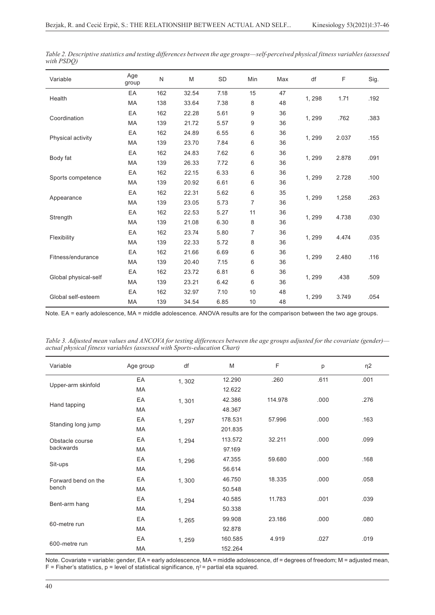| Variable             | Age<br>group | $\mathsf{N}$ | M     | SD   | Min            | Max | df     | F     | Sig. |
|----------------------|--------------|--------------|-------|------|----------------|-----|--------|-------|------|
| Health               | EA           | 162          | 32.54 | 7.18 | 15             | 47  | 1, 298 | 1.71  | .192 |
|                      | <b>MA</b>    | 138          | 33.64 | 7.38 | 8              | 48  |        |       |      |
|                      | EA           | 162          | 22.28 | 5.61 | 9              | 36  |        |       |      |
| Coordination         | MA           | 139          | 21.72 | 5.57 | 9              | 36  | 1, 299 | .762  | .383 |
|                      | EA           | 162          | 24.89 | 6.55 | 6              | 36  |        |       |      |
| Physical activity    | MA           | 139          | 23.70 | 7.84 | 6              | 36  | 1, 299 | 2.037 | .155 |
|                      | EA           | 162          | 24.83 | 7.62 | 6              | 36  |        | 2.878 |      |
| Body fat             | MA           | 139          | 26.33 | 7.72 | 6              | 36  | 1, 299 |       | .091 |
| Sports competence    | EA           | 162          | 22.15 | 6.33 | 6              | 36  |        | 2.728 |      |
|                      | MA           | 139          | 20.92 | 6.61 | 6              | 36  | 1, 299 |       | .100 |
|                      | EA           | 162          | 22.31 | 5.62 | 6              | 35  |        | 1,258 |      |
| Appearance           | MA           | 139          | 23.05 | 5.73 | $\overline{7}$ | 36  | 1, 299 |       | .263 |
|                      | EA           | 162          | 22.53 | 5.27 | 11             | 36  |        | 4.738 |      |
| Strength             | MA           | 139          | 21.08 | 6.30 | 8              | 36  | 1, 299 |       | .030 |
|                      | EA           | 162          | 23.74 | 5.80 | $\overline{7}$ | 36  |        |       |      |
| Flexibility          | <b>MA</b>    | 139          | 22.33 | 5.72 | 8              | 36  | 1, 299 | 4.474 | .035 |
|                      | EA           | 162          | 21.66 | 6.69 | 6              | 36  |        |       |      |
| Fitness/endurance    | MA           | 139          | 20.40 | 7.15 | 6              | 36  | 1, 299 | 2.480 | .116 |
|                      | EA           | 162          | 23.72 | 6.81 | 6              | 36  |        |       |      |
| Global physical-self | MA           | 139          | 23.21 | 6.42 | 6              | 36  | 1, 299 | .438  | .509 |
|                      | EA           | 162          | 32.97 | 7.10 | 10             | 48  |        |       |      |
| Global self-esteem   | MA           | 139          | 34.54 | 6.85 | 10             | 48  | 1,299  | 3.749 | .054 |

*Table 2. Descriptive statistics and testing differences between the age groups—self-perceived physical fitness variables (assessed with PSDQ)*

Note. EA = early adolescence, MA = middle adolescence. ANOVA results are for the comparison between the two age groups.

*Table 3. Adjusted mean values and ANCOVA for testing differences between the age groups adjusted for the covariate (gender) actual physical fitness variables (assessed with Sports-education Chart)*

| Variable                     | Age group | df     | M       | F       | р    | $\eta$ 2 |
|------------------------------|-----------|--------|---------|---------|------|----------|
| Upper-arm skinfold           | EA        | 1,302  | 12.290  | .260    | .611 | .001     |
|                              | MA        |        | 12.622  |         |      |          |
|                              | EA        | 1,301  | 42.386  | 114.978 | .000 | .276     |
| Hand tapping                 | MA        |        | 48.367  |         |      |          |
|                              | EA        | 1, 297 | 178.531 | 57.996  | .000 | .163     |
| Standing long jump           | MA        |        | 201.835 |         |      |          |
| Obstacle course<br>backwards | EA        | 1, 294 | 113.572 | 32.211  | .000 | .099     |
|                              | MA        |        | 97.169  |         |      |          |
|                              | EA        | 1,296  | 47.355  | 59.680  | .000 | .168     |
| Sit-ups                      | MA        |        | 56.614  |         |      |          |
| Forward bend on the          | EA        | 1,300  | 46.750  | 18.335  | .000 | .058     |
| bench                        | MA        |        | 50.548  |         |      |          |
|                              | EA        | 1, 294 | 40.585  | 11.783  | .001 | .039     |
| Bent-arm hang                | MA        |        | 50.338  |         |      |          |
| 60-metre run                 | EA        | 1,265  | 99.908  | 23.186  | .000 | .080     |
|                              | MA        |        | 92.878  |         |      |          |
| 600-metre run                | EA        | 1, 259 | 160.585 | 4.919   | .027 | .019     |
|                              | MA        |        | 152.264 |         |      |          |

Note. Covariate = variable: gender, EA = early adolescence, MA = middle adolescence, df = degrees of freedom; M = adjusted mean, F = Fisher's statistics, p = level of statistical significance,  $\eta^2$  = partial eta squared.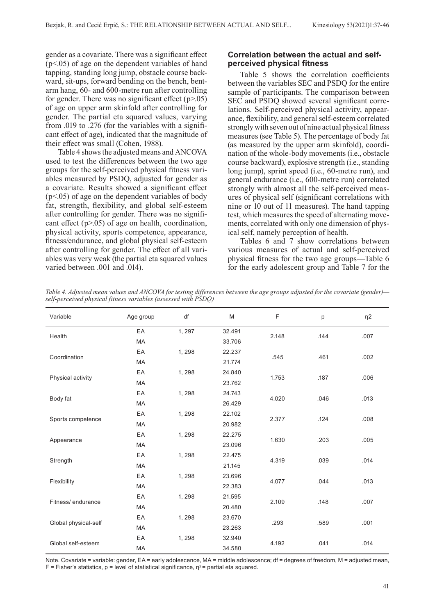gender as a covariate. There was a significant effect (p<.05) of age on the dependent variables of hand tapping, standing long jump, obstacle course backward, sit-ups, forward bending on the bench, bentarm hang, 60- and 600-metre run after controlling for gender. There was no significant effect  $(p>0.05)$ of age on upper arm skinfold after controlling for gender. The partial eta squared values, varying from .019 to .276 (for the variables with a significant effect of age), indicated that the magnitude of their effect was small (Cohen, 1988).

Table 4 shows the adjusted means and ANCOVA used to test the differences between the two age groups for the self-perceived physical fitness variables measured by PSDQ, adjusted for gender as a covariate. Results showed a significant effect  $(p<.05)$  of age on the dependent variables of body fat, strength, flexibility, and global self-esteem after controlling for gender. There was no significant effect  $(p>0.05)$  of age on health, coordination, physical activity, sports competence, appearance, fitness/endurance, and global physical self-esteem after controlling for gender. The effect of all variables was very weak (the partial eta squared values varied between .001 and .014).

## **Correlation between the actual and selfperceived physical fitness**

Table 5 shows the correlation coefficients between the variables SEC and PSDQ for the entire sample of participants. The comparison between SEC and PSDQ showed several significant correlations. Self-perceived physical activity, appearance, flexibility, and general self-esteem correlated strongly with seven out of nine actual physical fitness measures (see Table 5). The percentage of body fat (as measured by the upper arm skinfold), coordination of the whole-body movements (i.e., obstacle course backward), explosive strength (i.e., standing long jump), sprint speed (i.e., 60-metre run), and general endurance (i.e., 600-metre run) correlated strongly with almost all the self-perceived measures of physical self (significant correlations with nine or 10 out of 11 measures). The hand tapping test, which measures the speed of alternating movements, correlated with only one dimension of physical self, namely perception of health.

Tables 6 and 7 show correlations between various measures of actual and self-perceived physical fitness for the two age groups—Table 6 for the early adolescent group and Table 7 for the

*Table 4. Adjusted mean values and ANCOVA for testing differences between the age groups adjusted for the covariate (gender) self-perceived physical fitness variables (assessed with PSDQ)*

| Variable             | Age group | df     | M      | F     | p    | $\eta$ 2 |  |
|----------------------|-----------|--------|--------|-------|------|----------|--|
| Health               | EA        | 1, 297 | 32.491 | 2.148 |      |          |  |
|                      | MA        |        | 33.706 |       | .144 | .007     |  |
| Coordination         | EA        | 1,298  | 22.237 | .545  | .461 | .002     |  |
|                      | MA        |        | 21.774 |       |      |          |  |
| Physical activity    | EA        | 1,298  | 24.840 | 1.753 | .187 | .006     |  |
|                      | MA        |        | 23.762 |       |      |          |  |
|                      | EA        | 1,298  | 24.743 | 4.020 | .046 | .013     |  |
| Body fat             | MA        |        | 26.429 |       |      |          |  |
| Sports competence    | EA        | 1, 298 | 22.102 |       |      | .008     |  |
|                      | MA        |        | 20.982 | 2.377 | .124 |          |  |
|                      | EA        | 1,298  | 22.275 | 1.630 | .203 | .005     |  |
| Appearance           | <b>MA</b> |        | 23.096 |       |      |          |  |
|                      | EA        | 1,298  | 22.475 |       |      |          |  |
| Strength             | MA        |        | 21.145 | 4.319 | .039 | .014     |  |
|                      | EA        | 1,298  | 23.696 |       |      |          |  |
| Flexibility          | MA        |        | 22.383 | 4.077 | .044 | .013     |  |
| Fitness/endurance    | EA        | 1,298  | 21.595 |       |      |          |  |
|                      | <b>MA</b> |        | 20.480 | 2.109 | .148 | .007     |  |
|                      | EA        | 1,298  | 23.670 |       |      |          |  |
| Global physical-self | MA        |        | 23.263 | .293  | .589 | .001     |  |
|                      | EA        | 1,298  | 32.940 |       |      |          |  |
| Global self-esteem   | MA        |        | 34.580 | 4.192 | .041 | .014     |  |

Note. Covariate = variable: gender, EA = early adolescence, MA = middle adolescence; df = degrees of freedom, M = adjusted mean, F = Fisher's statistics, p = level of statistical significance,  $\eta^2$  = partial eta squared.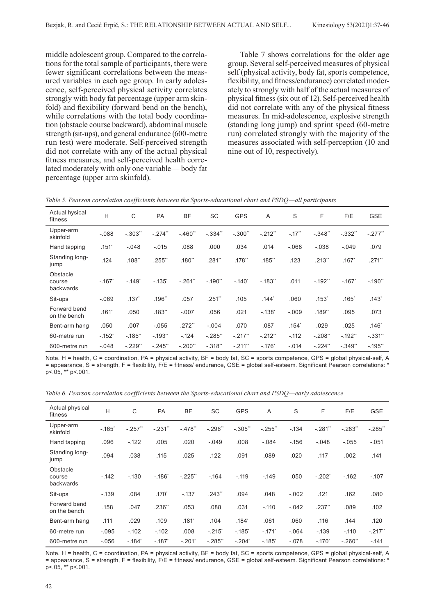middle adolescent group. Compared to the correlations for the total sample of participants, there were fewer significant correlations between the measured variables in each age group. In early adolescence, self-perceived physical activity correlates strongly with body fat percentage (upper arm skinfold) and flexibility (forward bend on the bench), while correlations with the total body coordination (obstacle course backward), abdominal muscle strength (sit-ups), and general endurance (600-metre run test) were moderate. Self-perceived strength did not correlate with any of the actual physical fitness measures, and self-perceived health correlated moderately with only one variable— body fat percentage (upper arm skinfold).

Table 7 shows correlations for the older age group. Several self-perceived measures of physical self (physical activity, body fat, sports competence, flexibility, and fitness/endurance) correlated moderately to strongly with half of the actual measures of physical fitness (six out of 12). Self-perceived health did not correlate with any of the physical fitness measures. In mid-adolescence, explosive strength (standing long jump) and sprint speed (60-metre run) correlated strongly with the majority of the measures associated with self-perception (10 and nine out of 10, respectively).

| Actual hysical<br>fitness       | H                   | C                   | PA       | <b>BF</b>            | <b>SC</b>  | <b>GPS</b>           | A                   | S                 | F        | F/E               | <b>GSE</b>           |
|---------------------------------|---------------------|---------------------|----------|----------------------|------------|----------------------|---------------------|-------------------|----------|-------------------|----------------------|
| Upper-arm<br>skinfold           | $-0.088$            | $-0.303$ "          | $-.274"$ | $-.460"$             | $-0.334$ " | $-.300"$             | $-.212"$            | $-17"$            | $-348"$  | $-0.332$          | $-.277"$             |
| Hand tapping                    | $.151$ <sup>*</sup> | $-048$              | $-.015$  | 880.                 | .000       | .034                 | .014                | $-068$            | $-.038$  | $-.049$           | .079                 |
| Standing long-<br>jump          | .124                | .188"               | .255"    | .180"                | .281"      | $.178$ <sup>**</sup> | .185"               | .123              | .213"    | $.167^\circ$      | $.271$ <sup>**</sup> |
| Obstacle<br>course<br>backwards | $-.167"$            | $-149$ <sup>*</sup> | $-135$   | $-.261"$             | $-.190"$   | $-.140"$             | $-183"$             | .011              | $-192"$  | $-167'$           | $-.190"$             |
| Sit-ups                         | $-069$              | .137                | .196**   | .057                 | $.251$ "   | .105                 | $.144$ <sup>*</sup> | .060              | $.153*$  | .165 <sup>°</sup> | $.143*$              |
| Forward bend<br>on the bench    | $.161*$             | .050                | .183"    | $-.007$              | .056       | .021                 | $-138$ <sup>*</sup> | $-.009$           | .189"    | .095              | .073                 |
| Bent-arm hang                   | .050                | .007                | $-.055$  | $.272$ <sup>**</sup> | $-.004$    | .070                 | .087                | .154 <sup>°</sup> | .029     | .025              | $.146*$              |
| 60-metre run                    | $-152"$             | $-185"$             | $-193"$  | $-124$               | $-285"$    | $-217"$              | $-.212"$            | $-.112$           | $-208"$  | $-192"$           | $-331"$              |
| 600-metre run                   | $-.048$             | $-.229"$            | $-.245"$ | $-.200"$             | $-.318"$   | $-211"$              | $-.176"$            | $-.014$           | $-.224"$ | $-0.349$          | $-195"$              |

*Table 5. Pearson correlation coefficients between the Sports-educational chart and PSDQ—all participants*

Note. H = health, C = coordination, PA = physical activity, BF = body fat, SC = sports competence, GPS = global physical-self, A = appearance, S = strength, F = flexibility, F/E = fitness/ endurance, GSE = global self-esteem. Significant Pearson correlations: \*  $p$  < 05, \*\*  $p$  < 001.

*Table 6. Pearson correlation coefficients between the Sports-educational chart and PSDQ—early adolescence*

| Actual physical<br>fitness      | H       | C            | <b>PA</b>         | <b>BF</b>         | <b>SC</b> | <b>GPS</b>        | A                    | S        | F                    | F/E      | <b>GSE</b> |
|---------------------------------|---------|--------------|-------------------|-------------------|-----------|-------------------|----------------------|----------|----------------------|----------|------------|
| Upper-arm<br>skinfold           | $-165$  | $-.257"$     | $-.231"$          | $-.478"$          | $-296"$   | $-.305"$          | $-255"$              | $-134$   | $-281"$              | $-283"$  | $-285"$    |
| Hand tapping                    | .096    | $-122$       | .005              | .020              | $-.049$   | .008              | $-.084$              | $-156$   | $-.048$              | $-.055$  | $-.051$    |
| Standing long-<br>jump          | .094    | .038         | .115              | .025              | .122      | .091              | .089                 | .020     | .117                 | .002     | .141       |
| Obstacle<br>course<br>backwards | $-142$  | $-130$       | $-186"$           | $-.225"$          | $-164$    | $-.119$           | $-149$               | .050     | $-.202"$             | $-162$   | $-.107$    |
| Sit-ups                         | $-139$  | .084         | .170 <sup>°</sup> | $-137$            | .243"     | .094              | .048                 | $-0.002$ | .121                 | .162     | .080       |
| Forward bend<br>on the bench    | .158    | .047         | .236"             | .053              | .088      | .031              | $-.110$              | $-0.042$ | $.237$ <sup>**</sup> | .089     | .102       |
| Bent-arm hang                   | .111    | .029         | .109              | .181 <sup>°</sup> | .104      | .184 <sup>°</sup> | .061                 | .060     | .116                 | .144     | .120       |
| 60-metre run                    | $-.095$ | $-102$       | $-102$            | .008              | $-.215"$  | $-185^\circ$      | $-.171$ <sup>*</sup> | $-.064$  | $-139$               | $-.110$  | $-.217"$   |
| 600-metre run                   | $-.056$ | $-184^\circ$ | $-.187"$          | $-.201"$          | $-.285"$  | $-.204"$          | $-185$               | $-.078$  | $-.170"$             | $-.260"$ | $-.141$    |

Note. H = health, C = coordination, PA = physical activity, BF = body fat, SC = sports competence, GPS = global physical-self, A = appearance, S = strength, F = flexibility, F/E = fitness/ endurance, GSE = global self-esteem. Significant Pearson correlations: \* p<.05, \*\* p<.001.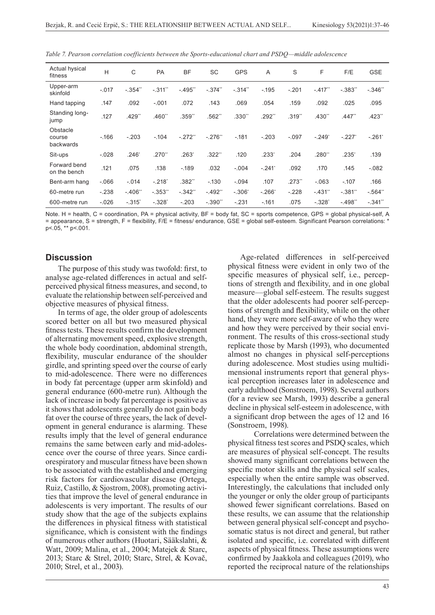| Actual hysical<br>fitness       | H        | C        | PA                   | <b>BF</b>              | <b>SC</b>            | <b>GPS</b> | $\overline{A}$ | S       | F                   | F/E                    | <b>GSE</b>           |
|---------------------------------|----------|----------|----------------------|------------------------|----------------------|------------|----------------|---------|---------------------|------------------------|----------------------|
| Upper-arm<br>skinfold           | $-.017$  | $-.354"$ | $-.311"$             | $-495"$                | $-374$               | $-314"$    | $-.195$        | $-.201$ | $-.417"$            | $-0.383$ <sup>**</sup> | $-346"$              |
| Hand tapping                    | .147     | .092     | $-.001$              | .072                   | .143                 | .069       | .054           | .159    | .092                | .025                   | .095                 |
| Standing long-<br>jump          | .127     | .429**   | .460"                | .359"                  | .562"                | .330"      | .292**         | .319"   | .430"               | $.447$ <sup>**</sup>   | $.423$ <sup>**</sup> |
| Obstacle<br>course<br>backwards | $-166$   | $-.203$  | $-.104$              | $-.272"$               | $-.276"$             | $-.181$    | $-.203$        | $-.097$ | $-.249"$            | $-.227'$               | $-.261$              |
| Sit-ups                         | $-.028$  | $.246*$  | $.270$ <sup>**</sup> | $.263*$                | $.322$ <sup>**</sup> | .120       | .233'          | .204    | .280"               | .235'                  | .139                 |
| Forward bend<br>on the bench    | .121     | .075     | .138                 | $-189$                 | .032                 | $-.004$    | $-.241$        | .092    | .170                | .145                   | $-.082$              |
| Bent-arm hang                   | $-066$   | $-.014$  | $-.218"$             | .382"                  | $-130$               | $-.094$    | .107           | .273"   | $-063$              | $-.107$                | .166                 |
| 60-metre run                    | $-.238$  | $-406"$  | $-0.353$             | $-0.342$ <sup>**</sup> | $-492"$              | $-.306"$   | $-.266"$       | $-.228$ | $-431"$             | $-.381"$               | $-0.564$             |
| 600-metre run                   | $-0.026$ | $-0.315$ | $-.328"$             | $-.203$                | $-0.390$             | $-.231$    | $-161$         | .075    | $-328$ <sup>*</sup> | $-498"$                | $-.341"$             |

*Table 7. Pearson correlation coefficients between the Sports-educational chart and PSDQ—middle adolescence*

Note. H = health, C = coordination, PA = physical activity, BF = body fat, SC = sports competence, GPS = global physical-self, A = appearance, S = strength, F = flexibility, F/E = fitness/ endurance, GSE = global self-esteem. Significant Pearson correlations: \* p<.05, \*\* p<.001.

### **Discussion**

The purpose of this study was twofold: first, to analyse age-related differences in actual and selfperceived physical fitness measures, and second, to evaluate the relationship between self-perceived and objective measures of physical fitness.

In terms of age, the older group of adolescents scored better on all but two measured physical fitness tests. These results confirm the development of alternating movement speed, explosive strength, the whole body coordination, abdominal strength, flexibility, muscular endurance of the shoulder girdle, and sprinting speed over the course of early to mid-adolescence. There were no differences in body fat percentage (upper arm skinfold) and general endurance (600-metre run). Although the lack of increase in body fat percentage is positive as it shows that adolescents generally do not gain body fat over the course of three years, the lack of development in general endurance is alarming. These results imply that the level of general endurance remains the same between early and mid-adolescence over the course of three years. Since cardiorespiratory and muscular fitness have been shown to be associated with the established and emerging risk factors for cardiovascular disease (Ortega, Ruiz, Castillo, & Sjostrom, 2008), promoting activities that improve the level of general endurance in adolescents is very important. The results of our study show that the age of the subjects explains the differences in physical fitness with statistical significance, which is consistent with the findings of numerous other authors (Huotari, Sääkslahti, & Watt, 2009; Malina, et al., 2004; Matejek & Starc, 2013; Starc & Strel, 2010; Starc, Strel, & Kovač, 2010; Strel, et al., 2003).

Age-related differences in self-perceived physical fitness were evident in only two of the specific measures of physical self, i.e., perceptions of strength and flexibility, and in one global measure—global self-esteem. The results suggest that the older adolescents had poorer self-perceptions of strength and flexibility, while on the other hand, they were more self-aware of who they were and how they were perceived by their social environment. The results of this cross-sectional study replicate those by Marsh (1993), who documented almost no changes in physical self-perceptions during adolescence. Most studies using multidimensional instruments report that general physical perception increases later in adolescence and early adulthood (Sonstroem, 1998). Several authors (for a review see Marsh, 1993) describe a general decline in physical self-esteem in adolescence, with a significant drop between the ages of 12 and 16 (Sonstroem, 1998).

Correlations were determined between the physical fitness test scores and PSDQ scales, which are measures of physical self-concept. The results showed many significant correlations between the specific motor skills and the physical self scales, especially when the entire sample was observed. Interestingly, the calculations that included only the younger or only the older group of participants showed fewer significant correlations. Based on these results, we can assume that the relationship between general physical self-concept and psychosomatic status is not direct and general, but rather isolated and specific, i.e. correlated with different aspects of physical fitness. These assumptions were confirmed by Jaakkola and colleagues (2019), who reported the reciprocal nature of the relationships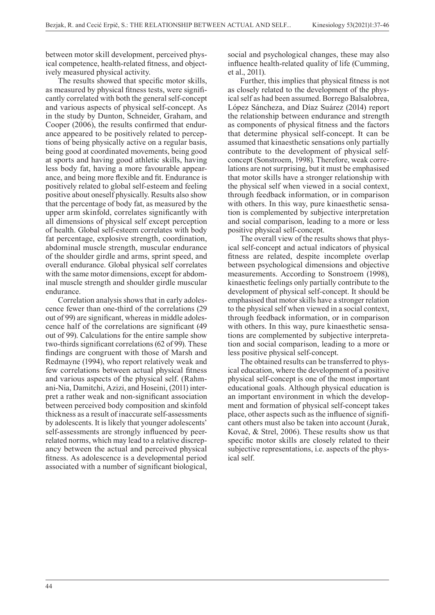between motor skill development, perceived physical competence, health-related fitness, and objectively measured physical activity.

The results showed that specific motor skills, as measured by physical fitness tests, were significantly correlated with both the general self-concept and various aspects of physical self-concept. As in the study by Dunton, Schneider, Graham, and Cooper (2006), the results confirmed that endurance appeared to be positively related to perceptions of being physically active on a regular basis, being good at coordinated movements, being good at sports and having good athletic skills, having less body fat, having a more favourable appearance, and being more flexible and fit. Endurance is positively related to global self-esteem and feeling positive about oneself physically. Results also show that the percentage of body fat, as measured by the upper arm skinfold, correlates significantly with all dimensions of physical self except perception of health. Global self-esteem correlates with body fat percentage, explosive strength, coordination, abdominal muscle strength, muscular endurance of the shoulder girdle and arms, sprint speed, and overall endurance. Global physical self correlates with the same motor dimensions, except for abdominal muscle strength and shoulder girdle muscular endurance.

Correlation analysis shows that in early adolescence fewer than one-third of the correlations (29 out of 99) are significant, whereas in middle adolescence half of the correlations are significant (49 out of 99). Calculations for the entire sample show two-thirds significant correlations (62 of 99). These findings are congruent with those of Marsh and Redmayne (1994), who report relatively weak and few correlations between actual physical fitness and various aspects of the physical self. (Rahmani-Nia, Damitchi, Azizi, and Hoseini, (2011) interpret a rather weak and non-significant association between perceived body composition and skinfold thickness as a result of inaccurate self-assessments by adolescents. It is likely that younger adolescents' self-assessments are strongly influenced by peerrelated norms, which may lead to a relative discrepancy between the actual and perceived physical fitness. As adolescence is a developmental period associated with a number of significant biological,

social and psychological changes, these may also influence health-related quality of life (Cumming, et al., 2011).

Further, this implies that physical fitness is not as closely related to the development of the physical self as had been assumed. Borrego Balsalobrea, López Sáncheza, and Díaz Suárez (2014) report the relationship between endurance and strength as components of physical fitness and the factors that determine physical self-concept. It can be assumed that kinaesthetic sensations only partially contribute to the development of physical selfconcept (Sonstroem, 1998). Therefore, weak correlations are not surprising, but it must be emphasised that motor skills have a stronger relationship with the physical self when viewed in a social context, through feedback information, or in comparison with others. In this way, pure kinaesthetic sensation is complemented by subjective interpretation and social comparison, leading to a more or less positive physical self-concept.

The overall view of the results shows that physical self-concept and actual indicators of physical fitness are related, despite incomplete overlap between psychological dimensions and objective measurements. According to Sonstroem (1998), kinaesthetic feelings only partially contribute to the development of physical self-concept. It should be emphasised that motor skills have a stronger relation to the physical self when viewed in a social context, through feedback information, or in comparison with others. In this way, pure kinaesthetic sensations are complemented by subjective interpretation and social comparison, leading to a more or less positive physical self-concept.

The obtained results can be transferred to physical education, where the development of a positive physical self-concept is one of the most important educational goals. Although physical education is an important environment in which the development and formation of physical self-concept takes place, other aspects such as the influence of significant others must also be taken into account (Jurak, Kovač, & Strel, 2006). These results show us that specific motor skills are closely related to their subjective representations, i.e. aspects of the physical self.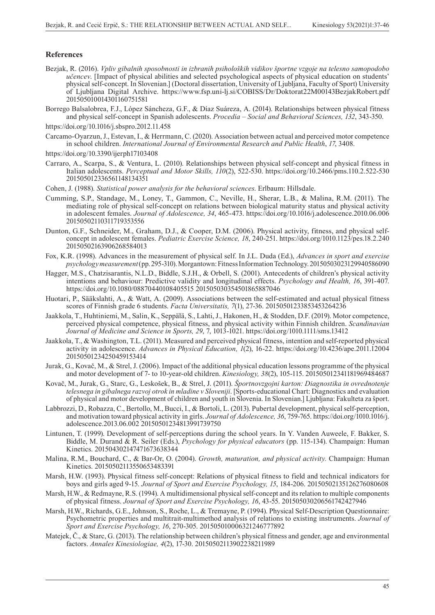#### **References**

- Bezjak, R. (2016). *Vpliv gibalnih sposobnosti in izbranih psiholoških vidikov športne vzgoje na telesno samopodobo učencev*. [Impact of physical abilities and selected psychological aspects of physical education on students' physical self-concept. In Slovenian.] (Doctoral dissertation, University of Ljubljana, Faculty of Sport) University of Ljubljana Digital Archive. https://www.fsp.uni-lj.si/COBISS/Dr/Doktorat22M00143BezjakRobert.pdf 201505010014301160751581
- Borrego Balsalobrea, F.J., López Sáncheza, G.F., & Díaz Suáreza, A. (2014). Relationships between physical fitness and physical self-concept in Spanish adolescents. *Procedia – Social and Behavioral Sciences, 132*, 343-350.
- https://doi.org/10.1016/j.sbspro.2012.11.458
- Carcamo-Oyarzun, J., Estevan, I., & Herrmann, C. (2020). Association between actual and perceived motor competence in school children. *International Journal of Environmental Research and Public Health*, *17*, 3408.
- https://doi.org/10.3390/ijerph17103408
- Carraro, A., Scarpa, S., & Ventura, L. (2010). Relationships between physical self-concept and physical fitness in Italian adolescents. *Perceptual and Motor Skills, 110*(2), 522-530. https://doi.org/10.2466/pms.110.2.522-530 201505012336561148134351
- Cohen, J. (1988). *Statistical power analysis for the behavioral sciences*. Erlbaum: Hillsdale.
- Cumming, S.P., Standage, M., Loney, T., Gammon, C., Neville, H., Sherar, L.B., & Malina, R.M. (2011). The mediating role of physical self-concept on relations between biological maturity status and physical activity in adolescent females. *Journal of Adolescence, 34*, 465-473. https://doi.org/10.1016/j.adolescence.2010.06.006 20150502110311719353556
- Dunton, G.F., Schneider, M., Graham, D.J., & Cooper, D.M. (2006). Physical activity, fitness, and physical selfconcept in adolescent females. *Pediatric Exercise Science, 18*, 240-251. https://doi.org/1010.1123/pes.18.2.240 20150502163906268584013
- Fox, K.R. (1998). Advances in the measurement of physical self. In J.L. Duda (Ed.), *Advances in sport and exercise psychology measurement* (pp. 295-310). Morgantown: Fitness Information Technology. 20150503023129940586090
- Hagger, M.S., Chatzisarantis, N.L.D., Biddle, S.J.H., & Orbell, S. (2001). Antecedents of children's physical activity intentions and behaviour: Predictive validity and longitudinal effects. *Psychology and Health, 16*, 391-407. https://doi.org/10.1080/08870440108405515 201505030354501865887046
- Huotari, P., Sääkslahti, A., & Watt, A. (2009). Associations between the self-estimated and actual physical fitness scores of Finnish grade 6 students. *Facta Universitatis, 7*(1), 27-36. 20150501233853453264236
- Jaakkola, T., Huhtiniemi, M., Salin, K., Seppälä, S., Lahti, J., Hakonen, H., & Stodden, D.F. (2019). Motor competence, perceived physical competence, physical fitness, and physical activity within Finnish children. *Scandinavian Journal of Medicine and Science in Sports, 29*, 7, 1013-1021. https://doi.org/1010.1111/sms.13412
- Jaakkola, T., & Washington, T.L. (2011). Measured and perceived physical fitness, intention and self-reported physical activity in adolescence. *Advances in Physical Education, 1*(2), 16-22. https://doi.org/10.4236/ape.2011.12004 20150501234250459153414
- Jurak, G., Kovač, M., & Strel, J. (2006). Impact of the additional physical education lessons programme of the physical and motor development of 7- to 10-year-old children. *Kinesiology, 38*(2), 105-115. 201505012341181969484687
- Kovač, M., Jurak, G., Starc, G., Leskošek, B., & Strel, J. (2011). *Športnovzgojni karton: Diagnostika in ovrednotenje telesnega in gibalnega razvoj otrok in mladine v Sloveniji*. [Sports-educational Chart: Diagnostics and evaluation of physical and motor development of children and youth in Slovenia. In Slovenian.] Ljubljana: Fakulteta za šport.
- Labbrozzi, D., Robazza, C., Bertollo, M., Bucci, I., & Bortoli, L. (2013). Pubertal development, physical self-perception, and motivation toward physical activity in girls. *Journal of Adolescence, 36*, 759-765. https://doi.org/1010.1016/j. adolescence.2013.06.002 20150501234813991739750
- Lintunen, T. (1999). Development of self-perceptions during the school years. In Y. Vanden Auweele, F. Bakker, S. Biddle, M. Durand & R. Seiler (Eds.), *Psychology for physical educators* (pp. 115-134). Champaign: Human Kinetics. 201504302147471673638344
- Malina, R.M., Bouchard, C., & Bar-Or, O. (2004). *Growth, maturation, and physical activity.* Champaign: Human Kinetics. 20150502113550653483391
- Marsh, H.W. (1993). Physical fitness self-concept: Relations of physical fitness to field and technical indicators for boys and girls aged 9-15. *Journal of Sport and Exercise Psychology, 15*, 184-206. 20150502135126276080608
- Marsh, H.W., & Redmayne, R.S. (1994). A multidimensional physical self-concept and its relation to multiple components of physical fitness. *Journal of Sport and Exercise Psychology, 16*, 43-55. 201505030206561742427946
- Marsh, H.W., Richards, G.E., Johnson, S., Roche, L., & Tremayne, P. (1994). Physical Self-Description Questionnaire: Psychometric properties and multitrait-multimethod analysis of relations to existing instruments. *Journal of Sport and Exercise Psychology, 16*, 270-305. 201505010006321246777892
- Matejek, Č., & Starc, G. (2013). The relationship between children's physical fitness and gender, age and environmental factors. *Annales Kinesiologiae, 4*(2), 17-30. 20150502113902238211989